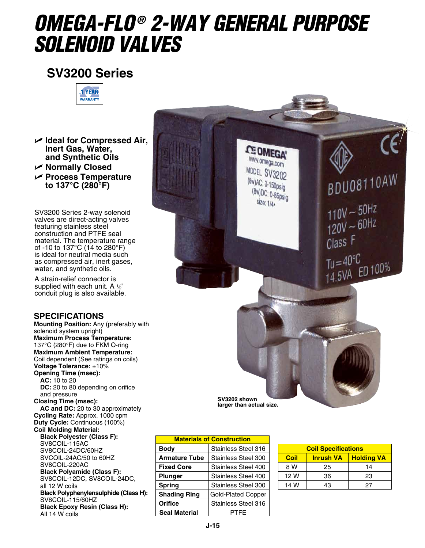# *OMEGA-FLO ® 2-WAY General Purpose Solenoid Valves*

## **SV3200 Series**



U **Ideal for Compressed Air, Inert Gas, Water, and Synthetic Oils** U **Normally Closed**

U **Process Temperature**

**to 137°C (280°F)**

SV3200 Series 2-way solenoid valves are direct-acting valves featuring stainless steel construction and PTFE seal material. The temperature range of -10 to 137°C (14 to 280°F) is ideal for neutral media such as compressed air, inert gases, water, and synthetic oils.

A strain-relief connector is supplied with each unit. A  $1/2$ " conduit plug is also available.

### **SPECIFICATIONS**

**Mounting Position:** Any (preferably with solenoid system upright) **Maximum Process Temperature:** 137°C (280°F) due to FKM O-ring **Maximum Ambient Temperature:** Coil dependent (See ratings on coils) **Voltage Tolerance:** ±10% **Opening Time (msec): AC:** 10 to 20 **DC:** 20 to 80 depending on orifice and pressure **Closing Time (msec): AC and DC:** 20 to 30 approximately **Cycling Rate:** Approx. 1000 cpm **Duty Cycle:** Continuous (100%) **Coil Molding Material: Black Polyester (Class F):** SV8COIL-115AC SV8COIL-24DC/60HZ SVCOIL-24AC/50 to 60HZ SV8COIL-220AC **Black Polyamide (Class F):** SV8COIL-12DC, SV8COIL-24DC, all 12 W coils **Black Polyphenylensulphide (Class H):** SV8COIL-115/60HZ **Black Epoxy Resin (Class H):** All 14 W coils



| <b>Materials of Construction</b> |                           |  |
|----------------------------------|---------------------------|--|
| Body                             | Stainless Steel 316       |  |
| <b>Armature Tube</b>             | Stainless Steel 300       |  |
| <b>Fixed Core</b>                | Stainless Steel 400       |  |
| <b>Plunger</b>                   | Stainless Steel 400       |  |
| <b>Spring</b>                    | Stainless Steel 300       |  |
| <b>Shading Ring</b>              | <b>Gold-Plated Copper</b> |  |
| Orifice                          | Stainless Steel 316       |  |
| <b>Seal Material</b>             | PTFF                      |  |

| <b>Coil Specifications</b> |                  |                   |  |
|----------------------------|------------------|-------------------|--|
| Coil                       | <b>Inrush VA</b> | <b>Holding VA</b> |  |
| 8 W                        | 25               | 14                |  |
| 12 W                       | 36               | 23                |  |
| 14 W                       | 43               | 27                |  |